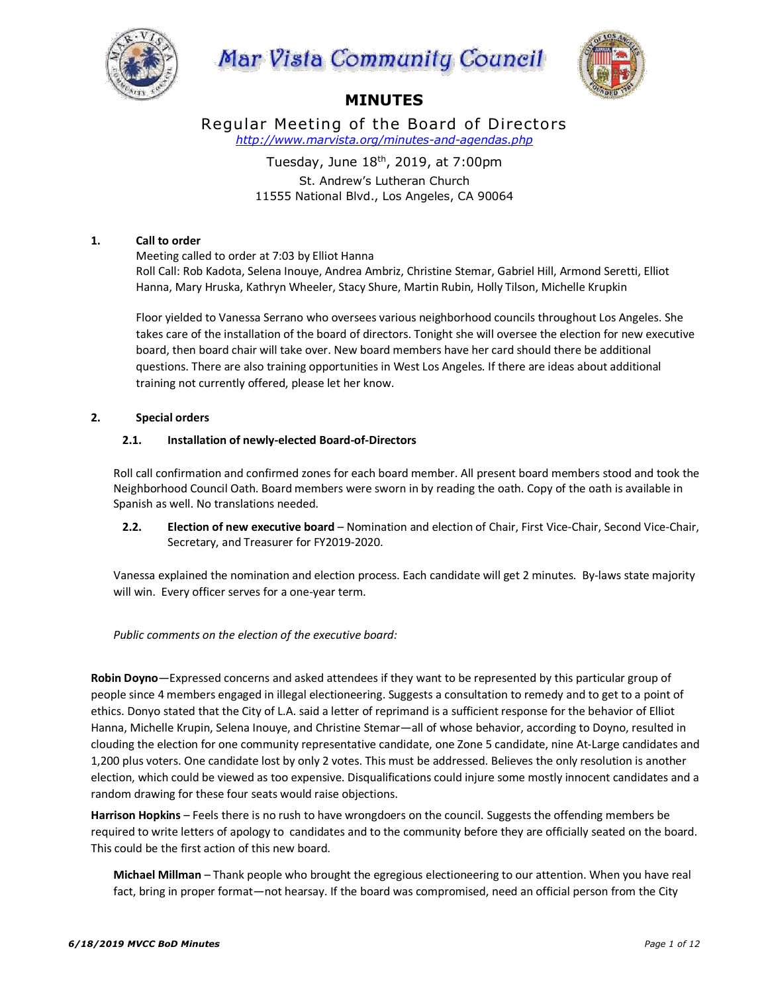





# **MINUTES**

Regular Meeting of the Board of Directors *http://www.marvista.org/minutes-and-agendas.php*

> Tuesday, June  $18<sup>th</sup>$ , 2019, at 7:00pm St. Andrew's Lutheran Church 11555 National Blvd., Los Angeles, CA 90064

# **1. Call to order**

Meeting called to order at 7:03 by Elliot Hanna Roll Call: Rob Kadota, Selena Inouye, Andrea Ambriz, Christine Stemar, Gabriel Hill, Armond Seretti, Elliot Hanna, Mary Hruska, Kathryn Wheeler, Stacy Shure, Martin Rubin, Holly Tilson, Michelle Krupkin

Floor yielded to Vanessa Serrano who oversees various neighborhood councils throughout Los Angeles. She takes care of the installation of the board of directors. Tonight she will oversee the election for new executive board, then board chair will take over. New board members have her card should there be additional questions. There are also training opportunities in West Los Angeles. If there are ideas about additional training not currently offered, please let her know.

# **2. Special orders**

# **2.1. Installation of newly-elected Board-of-Directors**

Roll call confirmation and confirmed zones for each board member. All present board members stood and took the Neighborhood Council Oath. Board members were sworn in by reading the oath. Copy of the oath is available in Spanish as well. No translations needed.

**2.2. Election of new executive board** – Nomination and election of Chair, First Vice-Chair, Second Vice-Chair, Secretary, and Treasurer for FY2019-2020.

Vanessa explained the nomination and election process. Each candidate will get 2 minutes. By-laws state majority will win. Every officer serves for a one-year term.

# *Public comments on the election of the executive board:*

**Robin Doyno**—Expressed concerns and asked attendees if they want to be represented by this particular group of people since 4 members engaged in illegal electioneering. Suggests a consultation to remedy and to get to a point of ethics. Donyo stated that the City of L.A. said a letter of reprimand is a sufficient response for the behavior of Elliot Hanna, Michelle Krupin, Selena Inouye, and Christine Stemar—all of whose behavior, according to Doyno, resulted in clouding the election for one community representative candidate, one Zone 5 candidate, nine At-Large candidates and 1,200 plus voters. One candidate lost by only 2 votes. This must be addressed. Believes the only resolution is another election, which could be viewed as too expensive. Disqualifications could injure some mostly innocent candidates and a random drawing for these four seats would raise objections.

**Harrison Hopkins** – Feels there is no rush to have wrongdoers on the council. Suggests the offending members be required to write letters of apology to candidates and to the community before they are officially seated on the board. This could be the first action of this new board.

**Michael Millman** – Thank people who brought the egregious electioneering to our attention. When you have real fact, bring in proper format—not hearsay. If the board was compromised, need an official person from the City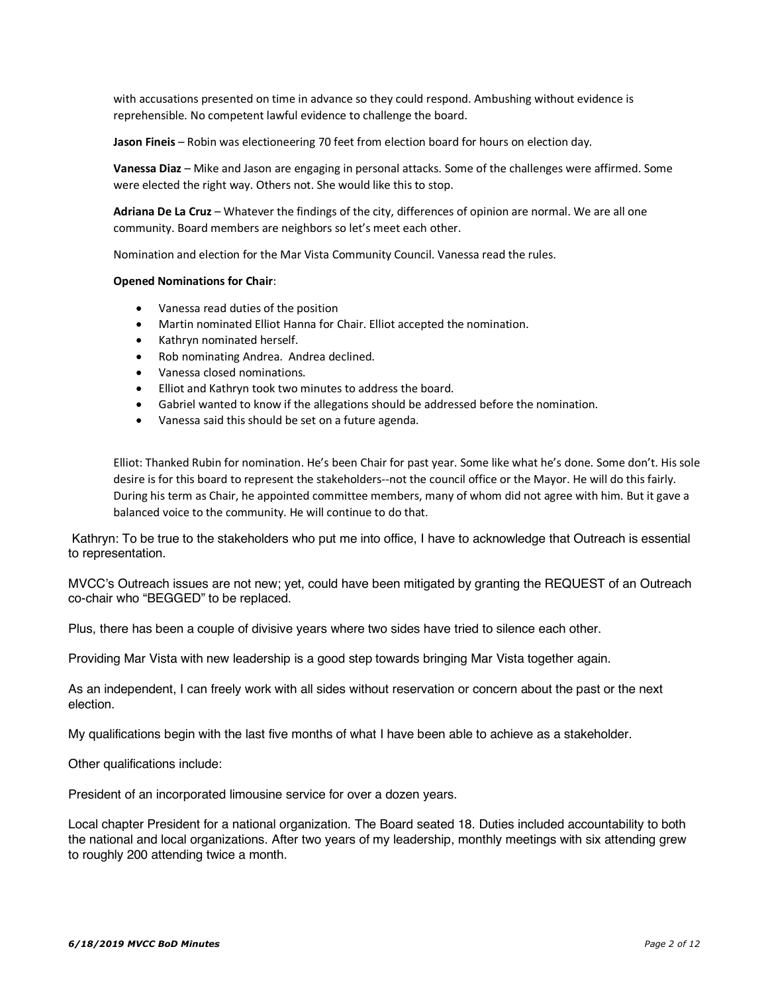with accusations presented on time in advance so they could respond. Ambushing without evidence is reprehensible. No competent lawful evidence to challenge the board.

**Jason Fineis** – Robin was electioneering 70 feet from election board for hours on election day.

**Vanessa Diaz** – Mike and Jason are engaging in personal attacks. Some of the challenges were affirmed. Some were elected the right way. Others not. She would like this to stop.

**Adriana De La Cruz** – Whatever the findings of the city, differences of opinion are normal. We are all one community. Board members are neighbors so let's meet each other.

Nomination and election for the Mar Vista Community Council. Vanessa read the rules.

#### **Opened Nominations for Chair**:

- Vanessa read duties of the position
- Martin nominated Elliot Hanna for Chair. Elliot accepted the nomination.
- Kathryn nominated herself.
- Rob nominating Andrea. Andrea declined.
- Vanessa closed nominations.
- Elliot and Kathryn took two minutes to address the board.
- Gabriel wanted to know if the allegations should be addressed before the nomination.
- Vanessa said this should be set on a future agenda.

Elliot: Thanked Rubin for nomination. He's been Chair for past year. Some like what he's done. Some don't. His sole desire is for this board to represent the stakeholders--not the council office or the Mayor. He will do this fairly. During his term as Chair, he appointed committee members, many of whom did not agree with him. But it gave a balanced voice to the community. He will continue to do that.

Kathryn: To be true to the stakeholders who put me into office, I have to acknowledge that Outreach is essential to representation.

MVCC's Outreach issues are not new; yet, could have been mitigated by granting the REQUEST of an Outreach co-chair who "BEGGED" to be replaced.

Plus, there has been a couple of divisive years where two sides have tried to silence each other.

Providing Mar Vista with new leadership is a good step towards bringing Mar Vista together again.

As an independent, I can freely work with all sides without reservation or concern about the past or the next election.

My qualifications begin with the last five months of what I have been able to achieve as a stakeholder.

Other qualifications include:

President of an incorporated limousine service for over a dozen years.

Local chapter President for a national organization. The Board seated 18. Duties included accountability to both the national and local organizations. After two years of my leadership, monthly meetings with six attending grew to roughly 200 attending twice a month.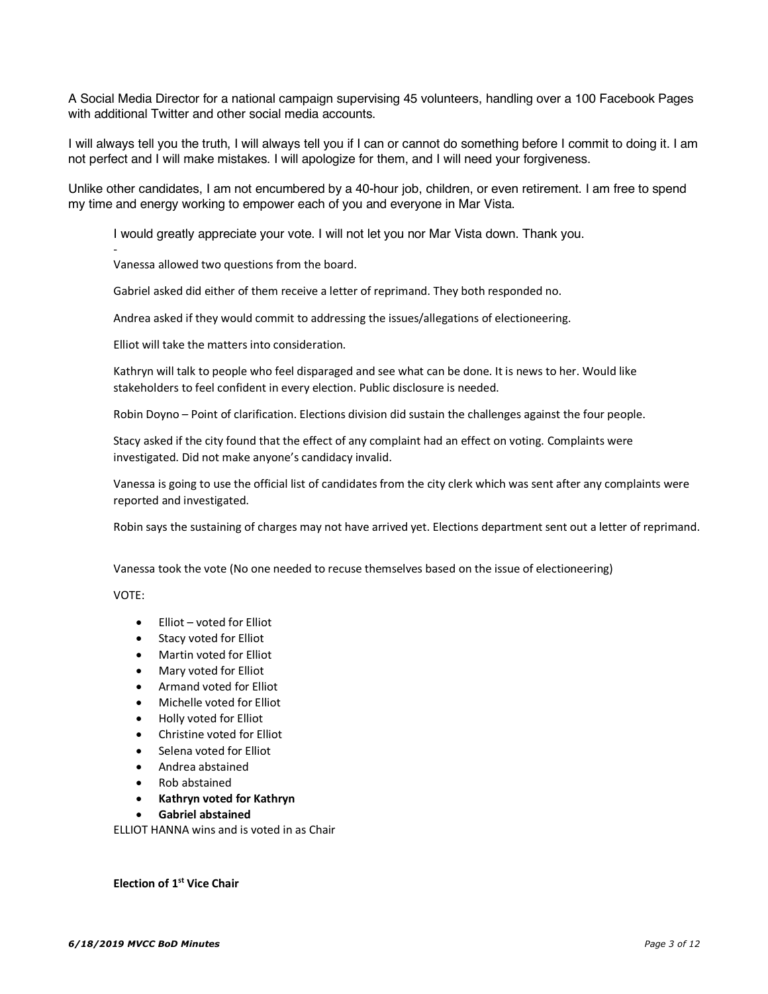A Social Media Director for a national campaign supervising 45 volunteers, handling over a 100 Facebook Pages with additional Twitter and other social media accounts.

I will always tell you the truth, I will always tell you if I can or cannot do something before I commit to doing it. I am not perfect and I will make mistakes. I will apologize for them, and I will need your forgiveness.

Unlike other candidates. I am not encumbered by a 40-hour job, children, or even retirement. I am free to spend my time and energy working to empower each of you and everyone in Mar Vista.

I would greatly appreciate your vote. I will not let you nor Mar Vista down. Thank you.

Vanessa allowed two questions from the board.

Gabriel asked did either of them receive a letter of reprimand. They both responded no.

Andrea asked if they would commit to addressing the issues/allegations of electioneering.

Elliot will take the matters into consideration.

Kathryn will talk to people who feel disparaged and see what can be done. It is news to her. Would like stakeholders to feel confident in every election. Public disclosure is needed.

Robin Doyno – Point of clarification. Elections division did sustain the challenges against the four people.

Stacy asked if the city found that the effect of any complaint had an effect on voting. Complaints were investigated. Did not make anyone's candidacy invalid.

Vanessa is going to use the official list of candidates from the city clerk which was sent after any complaints were reported and investigated.

Robin says the sustaining of charges may not have arrived yet. Elections department sent out a letter of reprimand.

Vanessa took the vote (No one needed to recuse themselves based on the issue of electioneering)

VOTE:

-

- Elliot voted for Elliot
- Stacy voted for Elliot
- Martin voted for Elliot
- Mary voted for Elliot
- Armand voted for Elliot
- Michelle voted for Elliot
- Holly voted for Elliot
- Christine voted for Elliot
- Selena voted for Elliot
- Andrea abstained
- Rob abstained
- **Kathryn voted for Kathryn**
- **Gabriel abstained**

ELLIOT HANNA wins and is voted in as Chair

**Election of 1st Vice Chair**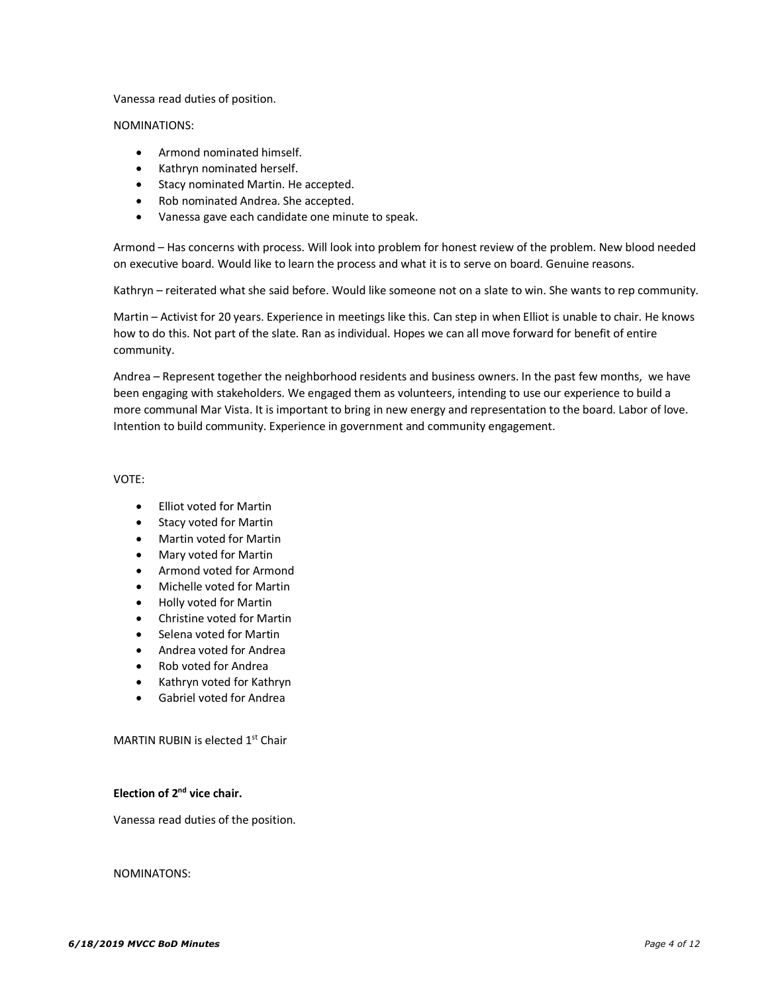#### Vanessa read duties of position.

#### NOMINATIONS:

- Armond nominated himself.
- Kathryn nominated herself.
- Stacy nominated Martin. He accepted.
- Rob nominated Andrea. She accepted.
- Vanessa gave each candidate one minute to speak.

Armond – Has concerns with process. Will look into problem for honest review of the problem. New blood needed on executive board. Would like to learn the process and what it is to serve on board. Genuine reasons.

Kathryn – reiterated what she said before. Would like someone not on a slate to win. She wants to rep community.

Martin – Activist for 20 years. Experience in meetings like this. Can step in when Elliot is unable to chair. He knows how to do this. Not part of the slate. Ran as individual. Hopes we can all move forward for benefit of entire community.

Andrea – Represent together the neighborhood residents and business owners. In the past few months, we have been engaging with stakeholders. We engaged them as volunteers, intending to use our experience to build a more communal Mar Vista. It is important to bring in new energy and representation to the board. Labor of love. Intention to build community. Experience in government and community engagement.

VOTE:

- Elliot voted for Martin
- Stacy voted for Martin
- Martin voted for Martin
- Mary voted for Martin
- Armond voted for Armond
- Michelle voted for Martin
- Holly voted for Martin
- Christine voted for Martin
- Selena voted for Martin
- Andrea voted for Andrea
- Rob voted for Andrea
- Kathryn voted for Kathryn
- Gabriel voted for Andrea

MARTIN RUBIN is elected 1<sup>st</sup> Chair

#### **Election of 2nd vice chair.**

Vanessa read duties of the position.

NOMINATONS: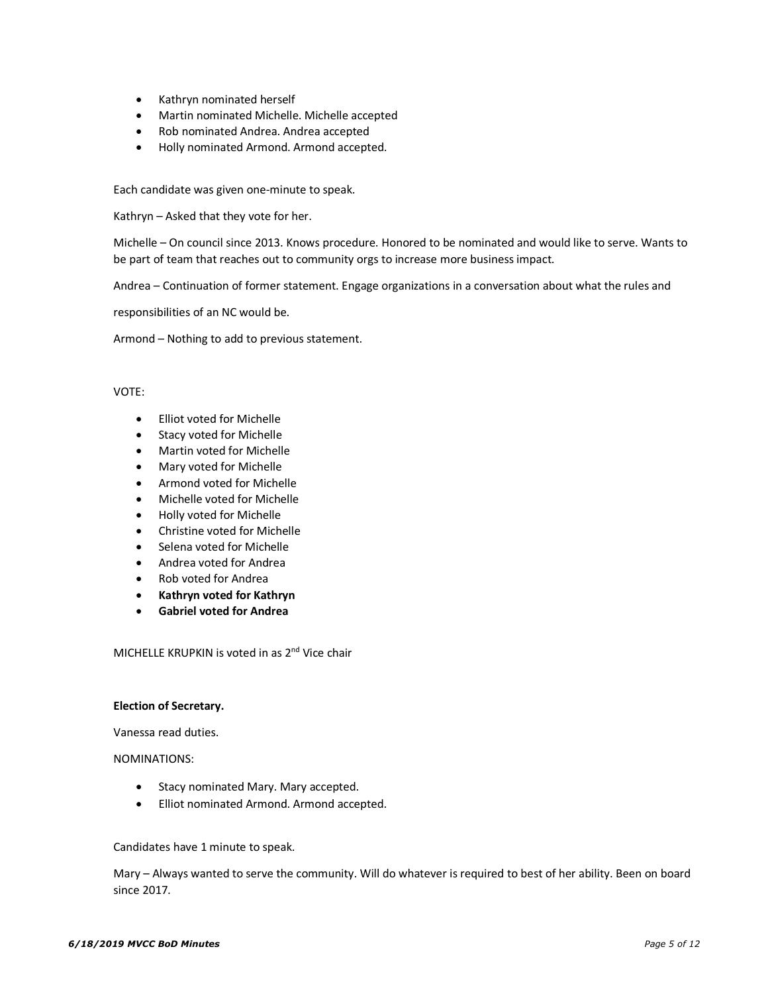- Kathryn nominated herself
- Martin nominated Michelle. Michelle accepted
- Rob nominated Andrea. Andrea accepted
- Holly nominated Armond. Armond accepted.

Each candidate was given one-minute to speak.

Kathryn – Asked that they vote for her.

Michelle – On council since 2013. Knows procedure. Honored to be nominated and would like to serve. Wants to be part of team that reaches out to community orgs to increase more business impact.

Andrea – Continuation of former statement. Engage organizations in a conversation about what the rules and

responsibilities of an NC would be.

Armond – Nothing to add to previous statement.

#### VOTE:

- Elliot voted for Michelle
- Stacy voted for Michelle
- Martin voted for Michelle
- Mary voted for Michelle
- Armond voted for Michelle
- Michelle voted for Michelle
- Holly voted for Michelle
- Christine voted for Michelle
- Selena voted for Michelle
- Andrea voted for Andrea
- Rob voted for Andrea
- **Kathryn voted for Kathryn**
- **Gabriel voted for Andrea**

MICHELLE KRUPKIN is voted in as 2<sup>nd</sup> Vice chair

#### **Election of Secretary.**

Vanessa read duties.

NOMINATIONS:

- Stacy nominated Mary. Mary accepted.
- Elliot nominated Armond. Armond accepted.

Candidates have 1 minute to speak.

Mary – Always wanted to serve the community. Will do whatever is required to best of her ability. Been on board since 2017.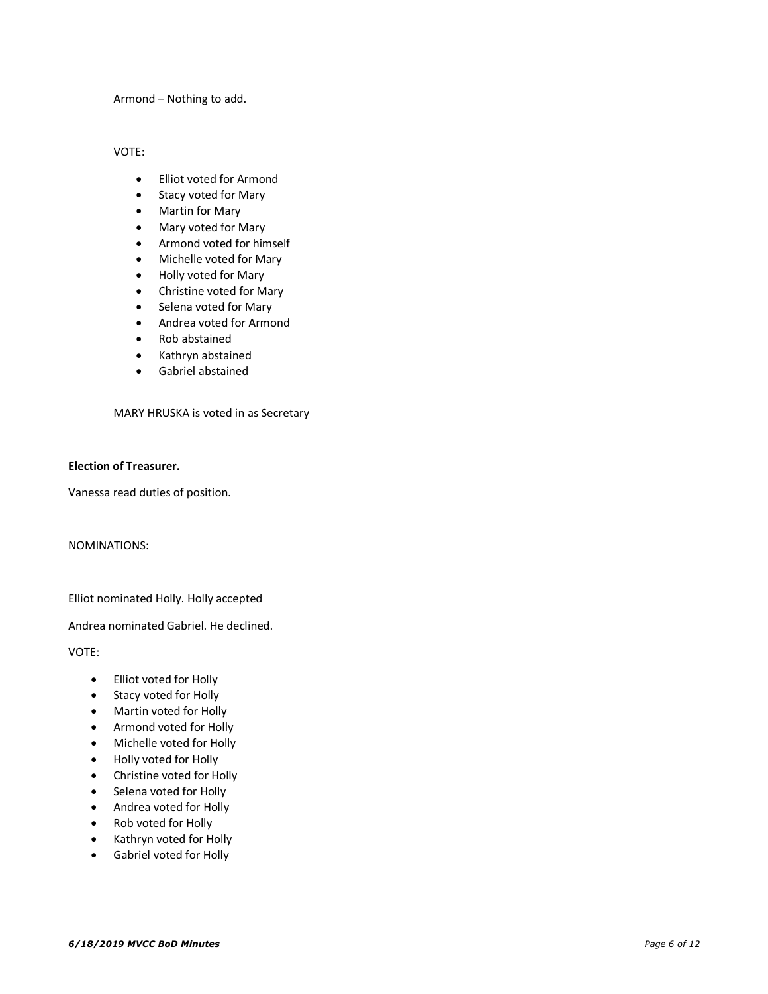Armond – Nothing to add.

VOTE:

- Elliot voted for Armond
- Stacy voted for Mary
- Martin for Mary
- Mary voted for Mary
- Armond voted for himself
- Michelle voted for Mary
- Holly voted for Mary
- Christine voted for Mary
- Selena voted for Mary
- Andrea voted for Armond
- Rob abstained
- Kathryn abstained
- Gabriel abstained

MARY HRUSKA is voted in as Secretary

### **Election of Treasurer.**

Vanessa read duties of position.

NOMINATIONS:

Elliot nominated Holly. Holly accepted

Andrea nominated Gabriel. He declined.

VOTE:

- Elliot voted for Holly
- Stacy voted for Holly
- Martin voted for Holly
- Armond voted for Holly
- Michelle voted for Holly
- Holly voted for Holly
- Christine voted for Holly
- Selena voted for Holly
- Andrea voted for Holly
- Rob voted for Holly
- Kathryn voted for Holly
- Gabriel voted for Holly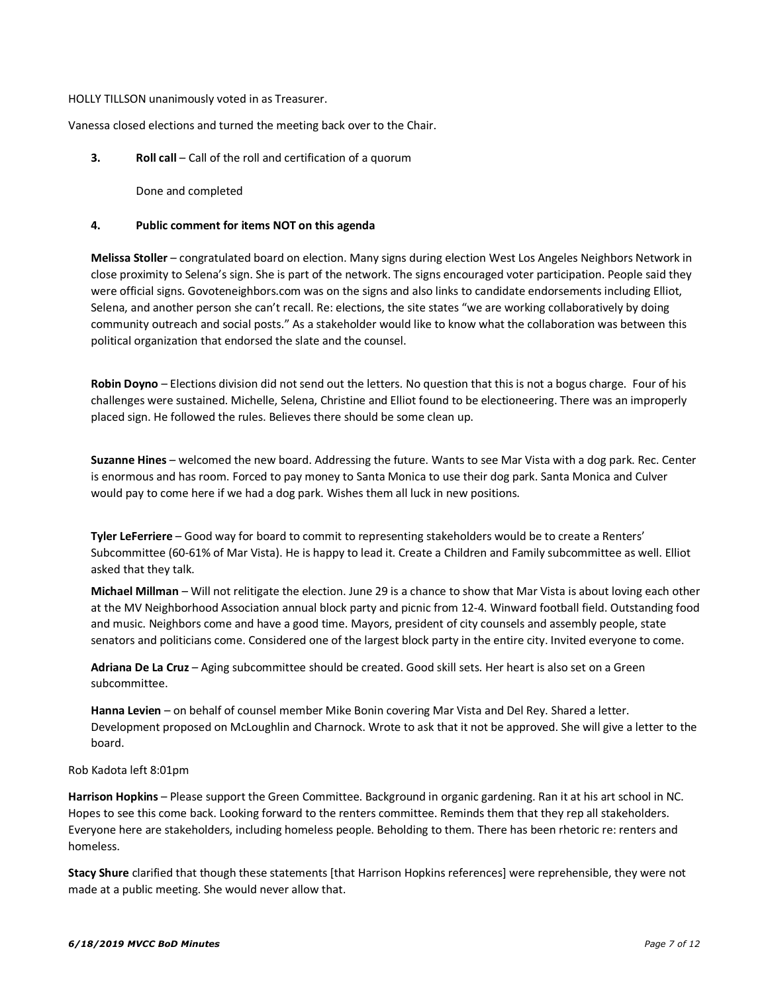HOLLY TILLSON unanimously voted in as Treasurer.

Vanessa closed elections and turned the meeting back over to the Chair.

**3. Roll call** – Call of the roll and certification of a quorum

Done and completed

# **4. Public comment for items NOT on this agenda**

**Melissa Stoller** – congratulated board on election. Many signs during election West Los Angeles Neighbors Network in close proximity to Selena's sign. She is part of the network. The signs encouraged voter participation. People said they were official signs. Govoteneighbors.com was on the signs and also links to candidate endorsements including Elliot, Selena, and another person she can't recall. Re: elections, the site states "we are working collaboratively by doing community outreach and social posts." As a stakeholder would like to know what the collaboration was between this political organization that endorsed the slate and the counsel.

**Robin Doyno** – Elections division did not send out the letters. No question that this is not a bogus charge. Four of his challenges were sustained. Michelle, Selena, Christine and Elliot found to be electioneering. There was an improperly placed sign. He followed the rules. Believes there should be some clean up.

**Suzanne Hines** – welcomed the new board. Addressing the future. Wants to see Mar Vista with a dog park. Rec. Center is enormous and has room. Forced to pay money to Santa Monica to use their dog park. Santa Monica and Culver would pay to come here if we had a dog park. Wishes them all luck in new positions.

**Tyler LeFerriere** – Good way for board to commit to representing stakeholders would be to create a Renters' Subcommittee (60-61% of Mar Vista). He is happy to lead it. Create a Children and Family subcommittee as well. Elliot asked that they talk.

**Michael Millman** – Will not relitigate the election. June 29 is a chance to show that Mar Vista is about loving each other at the MV Neighborhood Association annual block party and picnic from 12-4. Winward football field. Outstanding food and music. Neighbors come and have a good time. Mayors, president of city counsels and assembly people, state senators and politicians come. Considered one of the largest block party in the entire city. Invited everyone to come.

**Adriana De La Cruz** – Aging subcommittee should be created. Good skill sets. Her heart is also set on a Green subcommittee.

**Hanna Levien** – on behalf of counsel member Mike Bonin covering Mar Vista and Del Rey. Shared a letter. Development proposed on McLoughlin and Charnock. Wrote to ask that it not be approved. She will give a letter to the board.

# Rob Kadota left 8:01pm

**Harrison Hopkins** – Please support the Green Committee. Background in organic gardening. Ran it at his art school in NC. Hopes to see this come back. Looking forward to the renters committee. Reminds them that they rep all stakeholders. Everyone here are stakeholders, including homeless people. Beholding to them. There has been rhetoric re: renters and homeless.

**Stacy Shure** clarified that though these statements [that Harrison Hopkins references] were reprehensible, they were not made at a public meeting. She would never allow that.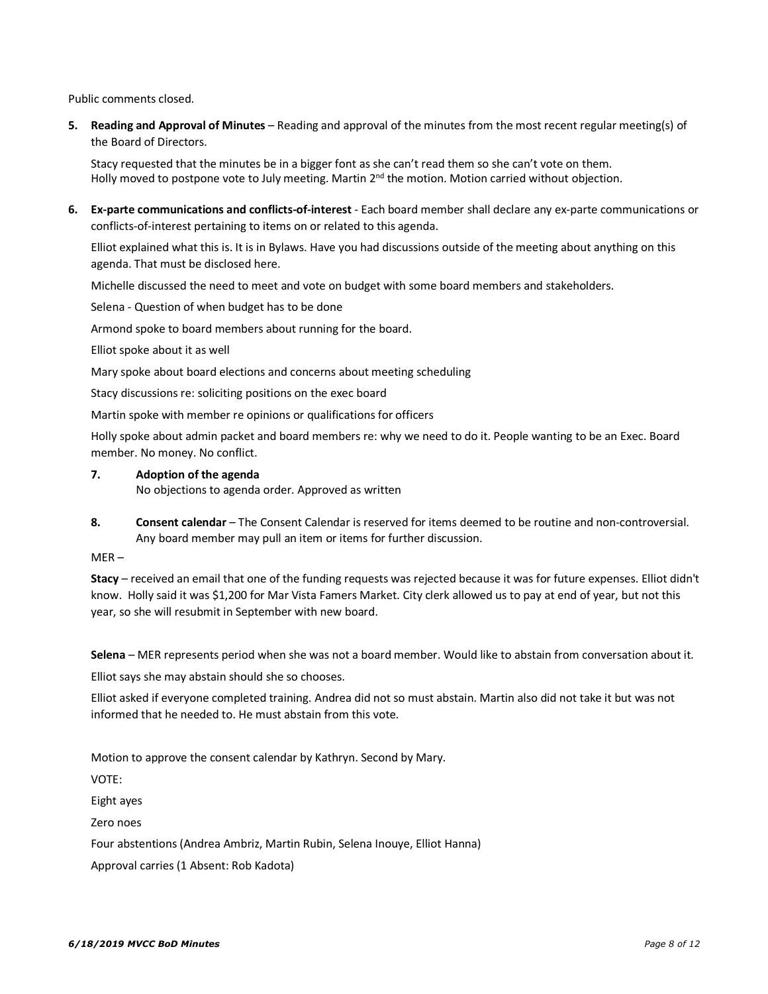Public comments closed.

**5. Reading and Approval of Minutes** – Reading and approval of the minutes from the most recent regular meeting(s) of the Board of Directors.

Stacy requested that the minutes be in a bigger font as she can't read them so she can't vote on them. Holly moved to postpone vote to July meeting. Martin 2<sup>nd</sup> the motion. Motion carried without objection.

**6. Ex-parte communications and conflicts-of-interest** - Each board member shall declare any ex-parte communications or conflicts-of-interest pertaining to items on or related to this agenda.

Elliot explained what this is. It is in Bylaws. Have you had discussions outside of the meeting about anything on this agenda. That must be disclosed here.

Michelle discussed the need to meet and vote on budget with some board members and stakeholders.

Selena - Question of when budget has to be done

Armond spoke to board members about running for the board.

Elliot spoke about it as well

Mary spoke about board elections and concerns about meeting scheduling

Stacy discussions re: soliciting positions on the exec board

Martin spoke with member re opinions or qualifications for officers

Holly spoke about admin packet and board members re: why we need to do it. People wanting to be an Exec. Board member. No money. No conflict.

**7. Adoption of the agenda**

No objections to agenda order. Approved as written

**8. Consent calendar** – The Consent Calendar is reserved for items deemed to be routine and non-controversial. Any board member may pull an item or items for further discussion.

 $MER -$ 

**Stacy** – received an email that one of the funding requests was rejected because it was for future expenses. Elliot didn't know. Holly said it was \$1,200 for Mar Vista Famers Market. City clerk allowed us to pay at end of year, but not this year, so she will resubmit in September with new board.

**Selena** – MER represents period when she was not a board member. Would like to abstain from conversation about it.

Elliot says she may abstain should she so chooses.

Elliot asked if everyone completed training. Andrea did not so must abstain. Martin also did not take it but was not informed that he needed to. He must abstain from this vote.

Motion to approve the consent calendar by Kathryn. Second by Mary.

VOTE:

Eight ayes

Zero noes

Four abstentions (Andrea Ambriz, Martin Rubin, Selena Inouye, Elliot Hanna)

Approval carries (1 Absent: Rob Kadota)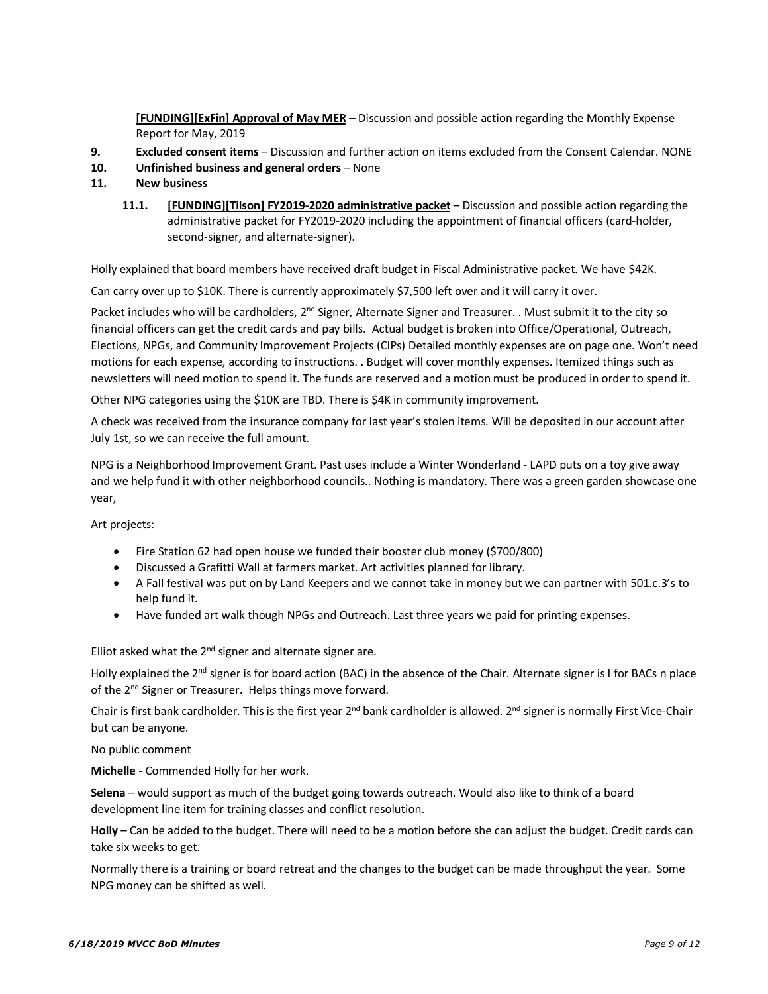**[FUNDING][ExFin] Approval of May MER** – Discussion and possible action regarding the Monthly Expense Report for May, 2019

- **9. Excluded consent items**  Discussion and further action on items excluded from the Consent Calendar. NONE
- **10. Unfinished business and general orders** None
- **11. New business**
	- **11.1. [FUNDING][Tilson] FY2019-2020 administrative packet** Discussion and possible action regarding the administrative packet for FY2019-2020 including the appointment of financial officers (card-holder, second-signer, and alternate-signer).

Holly explained that board members have received draft budget in Fiscal Administrative packet. We have \$42K.

Can carry over up to \$10K. There is currently approximately \$7,500 left over and it will carry it over.

Packet includes who will be cardholders, 2<sup>nd</sup> Signer, Alternate Signer and Treasurer. . Must submit it to the city so financial officers can get the credit cards and pay bills. Actual budget is broken into Office/Operational, Outreach, Elections, NPGs, and Community Improvement Projects (CIPs) Detailed monthly expenses are on page one. Won't need motions for each expense, according to instructions. . Budget will cover monthly expenses. Itemized things such as newsletters will need motion to spend it. The funds are reserved and a motion must be produced in order to spend it.

Other NPG categories using the \$10K are TBD. There is \$4K in community improvement.

A check was received from the insurance company for last year's stolen items. Will be deposited in our account after July 1st, so we can receive the full amount.

NPG is a Neighborhood Improvement Grant. Past uses include a Winter Wonderland - LAPD puts on a toy give away and we help fund it with other neighborhood councils.. Nothing is mandatory. There was a green garden showcase one year,

Art projects:

- Fire Station 62 had open house we funded their booster club money (\$700/800)
- Discussed a Grafitti Wall at farmers market. Art activities planned for library.
- A Fall festival was put on by Land Keepers and we cannot take in money but we can partner with 501.c.3's to help fund it.
- Have funded art walk though NPGs and Outreach. Last three years we paid for printing expenses.

Elliot asked what the  $2^{nd}$  signer and alternate signer are.

Holly explained the  $2^{nd}$  signer is for board action (BAC) in the absence of the Chair. Alternate signer is I for BACs n place of the 2<sup>nd</sup> Signer or Treasurer. Helps things move forward.

Chair is first bank cardholder. This is the first year  $2^{nd}$  bank cardholder is allowed.  $2^{nd}$  signer is normally First Vice-Chair but can be anyone.

No public comment

**Michelle** - Commended Holly for her work.

**Selena** – would support as much of the budget going towards outreach. Would also like to think of a board development line item for training classes and conflict resolution.

**Holly** – Can be added to the budget. There will need to be a motion before she can adjust the budget. Credit cards can take six weeks to get.

Normally there is a training or board retreat and the changes to the budget can be made throughput the year. Some NPG money can be shifted as well.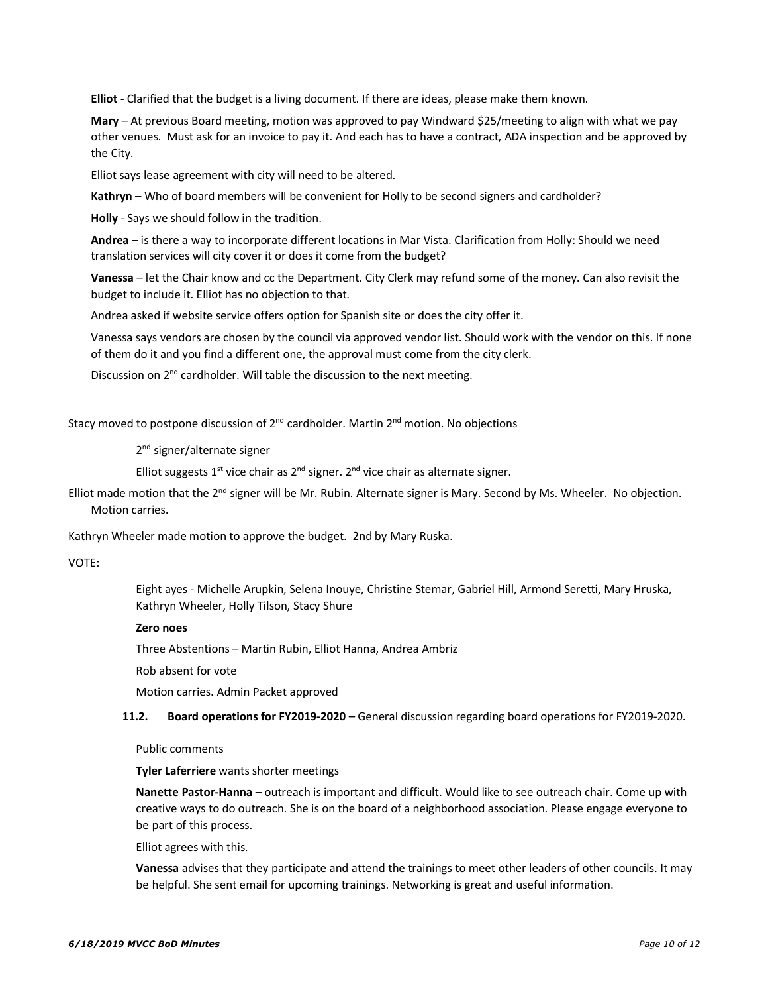**Elliot** - Clarified that the budget is a living document. If there are ideas, please make them known.

**Mary** – At previous Board meeting, motion was approved to pay Windward \$25/meeting to align with what we pay other venues. Must ask for an invoice to pay it. And each has to have a contract, ADA inspection and be approved by the City.

Elliot says lease agreement with city will need to be altered.

**Kathryn** – Who of board members will be convenient for Holly to be second signers and cardholder?

**Holly** - Says we should follow in the tradition.

**Andrea** – is there a way to incorporate different locations in Mar Vista. Clarification from Holly: Should we need translation services will city cover it or does it come from the budget?

**Vanessa** – let the Chair know and cc the Department. City Clerk may refund some of the money. Can also revisit the budget to include it. Elliot has no objection to that.

Andrea asked if website service offers option for Spanish site or does the city offer it.

Vanessa says vendors are chosen by the council via approved vendor list. Should work with the vendor on this. If none of them do it and you find a different one, the approval must come from the city clerk.

Discussion on  $2^{nd}$  cardholder. Will table the discussion to the next meeting.

Stacy moved to postpone discussion of  $2^{nd}$  cardholder. Martin  $2^{nd}$  motion. No objections

2<sup>nd</sup> signer/alternate signer

Elliot suggests  $1^{st}$  vice chair as  $2^{nd}$  signer.  $2^{nd}$  vice chair as alternate signer.

Elliot made motion that the 2<sup>nd</sup> signer will be Mr. Rubin. Alternate signer is Mary. Second by Ms. Wheeler. No objection. Motion carries.

Kathryn Wheeler made motion to approve the budget. 2nd by Mary Ruska.

VOTE:

Eight ayes - Michelle Arupkin, Selena Inouye, Christine Stemar, Gabriel Hill, Armond Seretti, Mary Hruska, Kathryn Wheeler, Holly Tilson, Stacy Shure

#### **Zero noes**

Three Abstentions – Martin Rubin, Elliot Hanna, Andrea Ambriz

Rob absent for vote

Motion carries. Admin Packet approved

**11.2. Board operations for FY2019-2020** – General discussion regarding board operations for FY2019-2020.

Public comments

**Tyler Laferriere** wants shorter meetings

**Nanette Pastor-Hanna** – outreach is important and difficult. Would like to see outreach chair. Come up with creative ways to do outreach. She is on the board of a neighborhood association. Please engage everyone to be part of this process.

Elliot agrees with this.

**Vanessa** advises that they participate and attend the trainings to meet other leaders of other councils. It may be helpful. She sent email for upcoming trainings. Networking is great and useful information.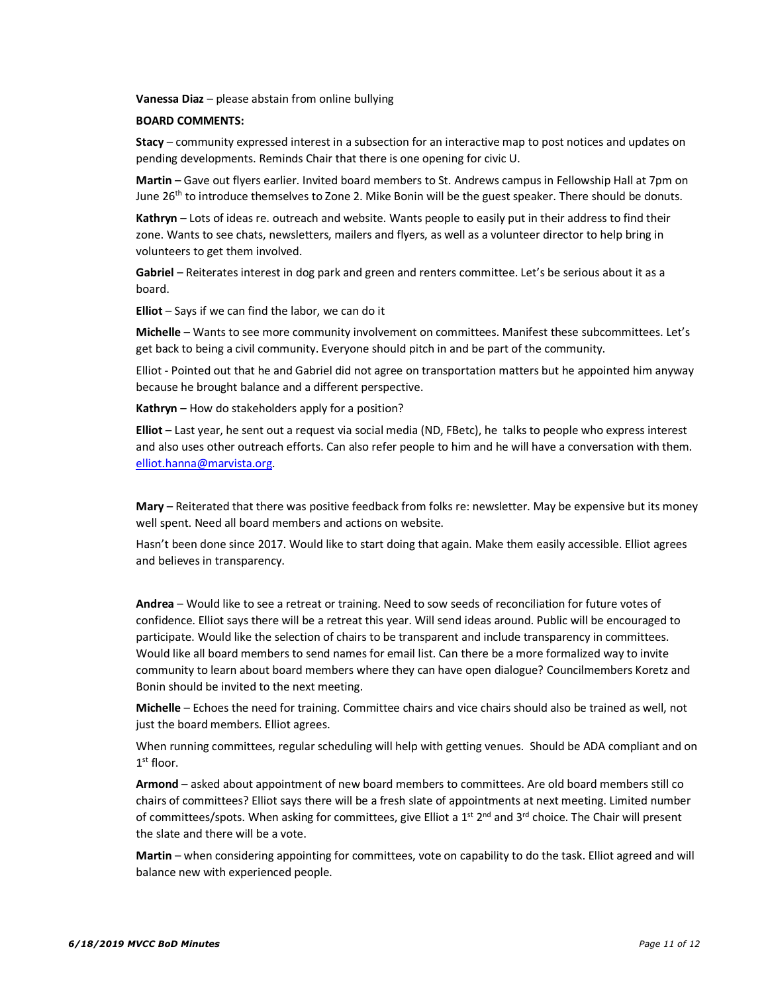**Vanessa Diaz** – please abstain from online bullying

#### **BOARD COMMENTS:**

**Stacy** – community expressed interest in a subsection for an interactive map to post notices and updates on pending developments. Reminds Chair that there is one opening for civic U.

**Martin** – Gave out flyers earlier. Invited board members to St. Andrews campus in Fellowship Hall at 7pm on June 26<sup>th</sup> to introduce themselves to Zone 2. Mike Bonin will be the guest speaker. There should be donuts.

**Kathryn** – Lots of ideas re. outreach and website. Wants people to easily put in their address to find their zone. Wants to see chats, newsletters, mailers and flyers, as well as a volunteer director to help bring in volunteers to get them involved.

Gabriel – Reiterates interest in dog park and green and renters committee. Let's be serious about it as a board.

**Elliot** – Says if we can find the labor, we can do it

**Michelle** – Wants to see more community involvement on committees. Manifest these subcommittees. Let's get back to being a civil community. Everyone should pitch in and be part of the community.

Elliot - Pointed out that he and Gabriel did not agree on transportation matters but he appointed him anyway because he brought balance and a different perspective.

**Kathryn** – How do stakeholders apply for a position?

**Elliot** – Last year, he sent out a request via social media (ND, FBetc), he talks to people who express interest and also uses other outreach efforts. Can also refer people to him and he will have a conversation with them. elliot.hanna@marvista.org.

**Mary** – Reiterated that there was positive feedback from folks re: newsletter. May be expensive but its money well spent. Need all board members and actions on website.

Hasn't been done since 2017. Would like to start doing that again. Make them easily accessible. Elliot agrees and believes in transparency.

**Andrea** – Would like to see a retreat or training. Need to sow seeds of reconciliation for future votes of confidence. Elliot says there will be a retreat this year. Will send ideas around. Public will be encouraged to participate. Would like the selection of chairs to be transparent and include transparency in committees. Would like all board members to send names for email list. Can there be a more formalized way to invite community to learn about board members where they can have open dialogue? Councilmembers Koretz and Bonin should be invited to the next meeting.

**Michelle** – Echoes the need for training. Committee chairs and vice chairs should also be trained as well, not just the board members. Elliot agrees.

When running committees, regular scheduling will help with getting venues. Should be ADA compliant and on  $1<sup>st</sup>$  floor.

**Armond** – asked about appointment of new board members to committees. Are old board members still co chairs of committees? Elliot says there will be a fresh slate of appointments at next meeting. Limited number of committees/spots. When asking for committees, give Elliot a  $1<sup>st</sup>$  2<sup>nd</sup> and 3<sup>rd</sup> choice. The Chair will present the slate and there will be a vote.

**Martin** – when considering appointing for committees, vote on capability to do the task. Elliot agreed and will balance new with experienced people.